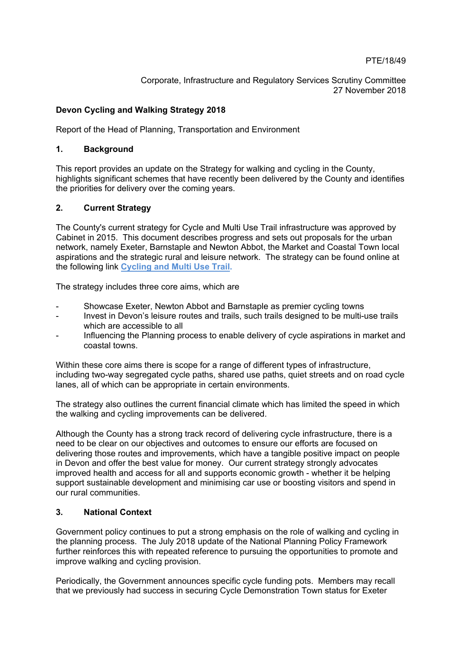Corporate, Infrastructure and Regulatory Services Scrutiny Committee 27 November 2018

## **Devon Cycling and Walking Strategy 2018**

Report of the Head of Planning, Transportation and Environment

## **1. Background**

This report provides an update on the Strategy for walking and cycling in the County, highlights significant schemes that have recently been delivered by the County and identifies the priorities for delivery over the coming years.

## **2. Current Strategy**

The County's current strategy for Cycle and Multi Use Trail infrastructure was approved by Cabinet in 2015. This document describes progress and sets out proposals for the urban network, namely Exeter, Barnstaple and Newton Abbot, the Market and Coastal Town local aspirations and the strategic rural and leisure network. The strategy can be found online at the following link **[Cycling](https://democracy.middevon.gov.uk/documents/s11335/Cycling%20and%20multi-use%20trail%20network%20strategy.pdf) and Multi Use Trail.**

The strategy includes three core aims, which are

- Showcase Exeter, Newton Abbot and Barnstaple as premier cycling towns
- Invest in Devon's leisure routes and trails, such trails designed to be multi-use trails which are accessible to all
- Influencing the Planning process to enable delivery of cycle aspirations in market and coastal towns.

Within these core aims there is scope for a range of different types of infrastructure, including two-way segregated cycle paths, shared use paths, quiet streets and on road cycle lanes, all of which can be appropriate in certain environments.

The strategy also outlines the current financial climate which has limited the speed in which the walking and cycling improvements can be delivered.

Although the County has a strong track record of delivering cycle infrastructure, there is a need to be clear on our objectives and outcomes to ensure our efforts are focused on delivering those routes and improvements, which have a tangible positive impact on people in Devon and offer the best value for money. Our current strategy strongly advocates improved health and access for all and supports economic growth - whether it be helping support sustainable development and minimising car use or boosting visitors and spend in our rural communities.

## **3. National Context**

Government policy continues to put a strong emphasis on the role of walking and cycling in the planning process. The July 2018 update of the National Planning Policy Framework further reinforces this with repeated reference to pursuing the opportunities to promote and improve walking and cycling provision.

Periodically, the Government announces specific cycle funding pots. Members may recall that we previously had success in securing Cycle Demonstration Town status for Exeter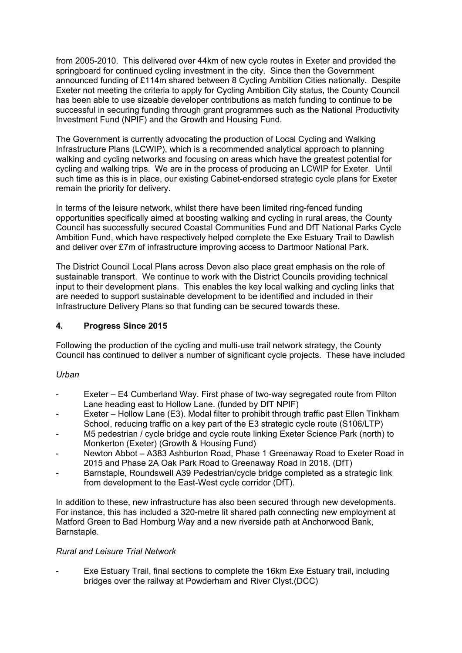from 2005-2010. This delivered over 44km of new cycle routes in Exeter and provided the springboard for continued cycling investment in the city. Since then the Government announced funding of £114m shared between 8 Cycling Ambition Cities nationally. Despite Exeter not meeting the criteria to apply for Cycling Ambition City status, the County Council has been able to use sizeable developer contributions as match funding to continue to be successful in securing funding through grant programmes such as the National Productivity Investment Fund (NPIF) and the Growth and Housing Fund.

The Government is currently advocating the production of Local Cycling and Walking Infrastructure Plans (LCWIP), which is a recommended analytical approach to planning walking and cycling networks and focusing on areas which have the greatest potential for cycling and walking trips. We are in the process of producing an LCWIP for Exeter. Until such time as this is in place, our existing Cabinet-endorsed strategic cycle plans for Exeter remain the priority for delivery.

In terms of the leisure network, whilst there have been limited ring-fenced funding opportunities specifically aimed at boosting walking and cycling in rural areas, the County Council has successfully secured Coastal Communities Fund and DfT National Parks Cycle Ambition Fund, which have respectively helped complete the Exe Estuary Trail to Dawlish and deliver over £7m of infrastructure improving access to Dartmoor National Park.

The District Council Local Plans across Devon also place great emphasis on the role of sustainable transport. We continue to work with the District Councils providing technical input to their development plans. This enables the key local walking and cycling links that are needed to support sustainable development to be identified and included in their Infrastructure Delivery Plans so that funding can be secured towards these.

## **4. Progress Since 2015**

Following the production of the cycling and multi-use trail network strategy, the County Council has continued to deliver a number of significant cycle projects. These have included

## *Urban*

- Exeter E4 Cumberland Way. First phase of two-way segregated route from Pilton Lane heading east to Hollow Lane. (funded by DfT NPIF)
- Exeter Hollow Lane (E3). Modal filter to prohibit through traffic past Ellen Tinkham School, reducing traffic on a key part of the E3 strategic cycle route (S106/LTP)
- M5 pedestrian / cycle bridge and cycle route linking Exeter Science Park (north) to Monkerton (Exeter) (Growth & Housing Fund)
- Newton Abbot A383 Ashburton Road, Phase 1 Greenaway Road to Exeter Road in 2015 and Phase 2A Oak Park Road to Greenaway Road in 2018. (DfT)
- Barnstaple, Roundswell A39 Pedestrian/cycle bridge completed as a strategic link from development to the East-West cycle corridor (DfT).

In addition to these, new infrastructure has also been secured through new developments. For instance, this has included a 320-metre lit shared path connecting new employment at Matford Green to Bad Homburg Way and a new riverside path at Anchorwood Bank, Barnstaple.

## *Rural and Leisure Trial Network*

Exe Estuary Trail, final sections to complete the 16km Exe Estuary trail, including bridges over the railway at Powderham and River Clyst.(DCC)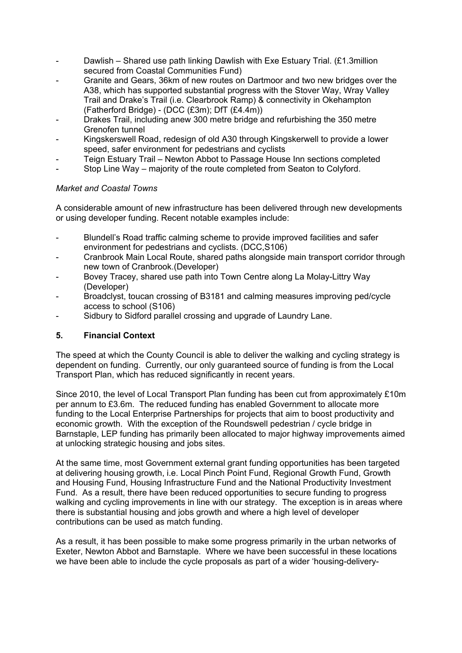- Dawlish Shared use path linking Dawlish with Exe Estuary Trial. (£1.3million secured from Coastal Communities Fund)
- Granite and Gears, 36km of new routes on Dartmoor and two new bridges over the A38, which has supported substantial progress with the Stover Way, Wray Valley Trail and Drake's Trail (i.e. Clearbrook Ramp) & connectivity in Okehampton (Fatherford Bridge) - (DCC (£3m); DfT (£4.4m))
- Drakes Trail, including anew 300 metre bridge and refurbishing the 350 metre Grenofen tunnel
- Kingskerswell Road, redesign of old A30 through Kingskerwell to provide a lower speed, safer environment for pedestrians and cyclists
- Teign Estuary Trail Newton Abbot to Passage House Inn sections completed
- Stop Line Way majority of the route completed from Seaton to Colyford.

## *Market and Coastal Towns*

A considerable amount of new infrastructure has been delivered through new developments or using developer funding. Recent notable examples include:

- Blundell's Road traffic calming scheme to provide improved facilities and safer environment for pedestrians and cyclists. (DCC,S106)
- Cranbrook Main Local Route, shared paths alongside main transport corridor through new town of Cranbrook.(Developer)
- Bovey Tracey, shared use path into Town Centre along La Molay-Littry Way (Developer)
- Broadclyst, toucan crossing of B3181 and calming measures improving ped/cycle access to school (S106)
- Sidbury to Sidford parallel crossing and upgrade of Laundry Lane.

# **5. Financial Context**

The speed at which the County Council is able to deliver the walking and cycling strategy is dependent on funding. Currently, our only guaranteed source of funding is from the Local Transport Plan, which has reduced significantly in recent years.

Since 2010, the level of Local Transport Plan funding has been cut from approximately £10m per annum to £3.6m. The reduced funding has enabled Government to allocate more funding to the Local Enterprise Partnerships for projects that aim to boost productivity and economic growth. With the exception of the Roundswell pedestrian / cycle bridge in Barnstaple, LEP funding has primarily been allocated to major highway improvements aimed at unlocking strategic housing and jobs sites.

At the same time, most Government external grant funding opportunities has been targeted at delivering housing growth, i.e. Local Pinch Point Fund, Regional Growth Fund, Growth and Housing Fund, Housing Infrastructure Fund and the National Productivity Investment Fund. As a result, there have been reduced opportunities to secure funding to progress walking and cycling improvements in line with our strategy. The exception is in areas where there is substantial housing and jobs growth and where a high level of developer contributions can be used as match funding.

As a result, it has been possible to make some progress primarily in the urban networks of Exeter, Newton Abbot and Barnstaple. Where we have been successful in these locations we have been able to include the cycle proposals as part of a wider 'housing-delivery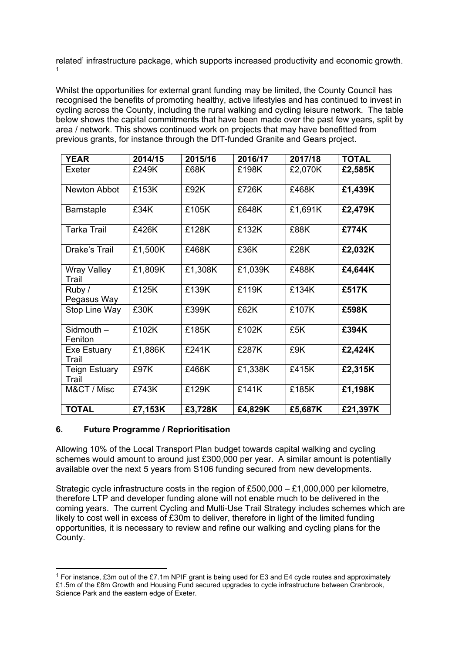related' infrastructure package, which supports increased productivity and economic growth. 1

Whilst the opportunities for external grant funding may be limited, the County Council has recognised the benefits of promoting healthy, active lifestyles and has continued to invest in cycling across the County, including the rural walking and cycling leisure network. The table below shows the capital commitments that have been made over the past few years, split by area / network. This shows continued work on projects that may have benefitted from previous grants, for instance through the DfT-funded Granite and Gears project.

| <b>YEAR</b>                   | 2014/15 | 2015/16 | 2016/17 | 2017/18 | <b>TOTAL</b> |
|-------------------------------|---------|---------|---------|---------|--------------|
| Exeter                        | £249K   | £68K    | £198K   | £2,070K | £2,585K      |
| Newton Abbot                  | £153K   | £92K    | £726K   | £468K   | £1,439K      |
| <b>Barnstaple</b>             | £34K    | £105K   | £648K   | £1,691K | £2,479K      |
| <b>Tarka Trail</b>            | £426K   | £128K   | £132K   | £88K    | £774K        |
| Drake's Trail                 | £1,500K | £468K   | £36K    | £28K    | £2,032K      |
| Wray Valley<br>Trail          | £1,809K | £1,308K | £1,039K | £488K   | £4,644K      |
| Ruby /<br>Pegasus Way         | £125K   | £139K   | £119K   | £134K   | £517K        |
| Stop Line Way                 | £30K    | £399K   | £62K    | £107K   | £598K        |
| Sidmouth $-$<br>Feniton       | £102K   | £185K   | £102K   | £5K     | £394K        |
| Exe Estuary<br>Trail          | £1,886K | £241K   | £287K   | £9K     | £2,424K      |
| <b>Teign Estuary</b><br>Trail | £97K    | £466K   | £1,338K | £415K   | £2,315K      |
| M&CT / Misc                   | £743K   | £129K   | £141K   | £185K   | £1,198K      |
| <b>TOTAL</b>                  | £7,153K | £3,728K | £4,829K | £5,687K | £21,397K     |

## **6. Future Programme / Reprioritisation**

Allowing 10% of the Local Transport Plan budget towards capital walking and cycling schemes would amount to around just £300,000 per year. A similar amount is potentially available over the next 5 years from S106 funding secured from new developments.

Strategic cycle infrastructure costs in the region of £500,000 – £1,000,000 per kilometre, therefore LTP and developer funding alone will not enable much to be delivered in the coming years. The current Cycling and Multi-Use Trail Strategy includes schemes which are likely to cost well in excess of £30m to deliver, therefore in light of the limited funding opportunities, it is necessary to review and refine our walking and cycling plans for the County.

<sup>1</sup> For instance, £3m out of the £7.1m NPIF grant is being used for E3 and E4 cycle routes and approximately £1.5m of the £8m Growth and Housing Fund secured upgrades to cycle infrastructure between Cranbrook, Science Park and the eastern edge of Exeter.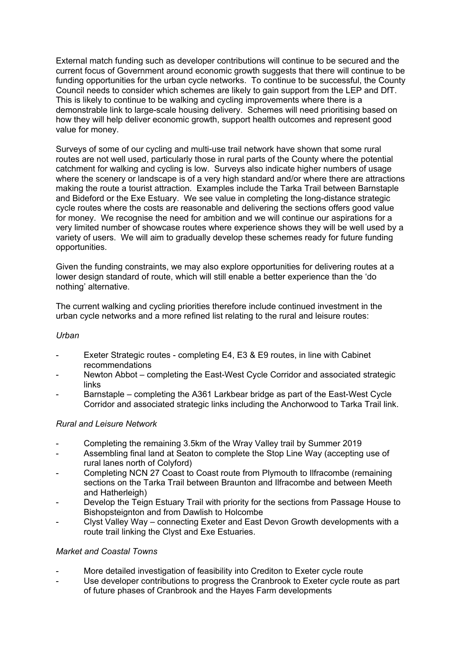External match funding such as developer contributions will continue to be secured and the current focus of Government around economic growth suggests that there will continue to be funding opportunities for the urban cycle networks. To continue to be successful, the County Council needs to consider which schemes are likely to gain support from the LEP and DfT. This is likely to continue to be walking and cycling improvements where there is a demonstrable link to large-scale housing delivery. Schemes will need prioritising based on how they will help deliver economic growth, support health outcomes and represent good value for money.

Surveys of some of our cycling and multi-use trail network have shown that some rural routes are not well used, particularly those in rural parts of the County where the potential catchment for walking and cycling is low. Surveys also indicate higher numbers of usage where the scenery or landscape is of a very high standard and/or where there are attractions making the route a tourist attraction. Examples include the Tarka Trail between Barnstaple and Bideford or the Exe Estuary. We see value in completing the long-distance strategic cycle routes where the costs are reasonable and delivering the sections offers good value for money. We recognise the need for ambition and we will continue our aspirations for a very limited number of showcase routes where experience shows they will be well used by a variety of users. We will aim to gradually develop these schemes ready for future funding opportunities.

Given the funding constraints, we may also explore opportunities for delivering routes at a lower design standard of route, which will still enable a better experience than the 'do nothing' alternative.

The current walking and cycling priorities therefore include continued investment in the urban cycle networks and a more refined list relating to the rural and leisure routes:

#### *Urban*

- Exeter Strategic routes completing E4, E3 & E9 routes, in line with Cabinet recommendations
- Newton Abbot completing the East-West Cycle Corridor and associated strategic links
- Barnstaple completing the A361 Larkbear bridge as part of the East-West Cycle Corridor and associated strategic links including the Anchorwood to Tarka Trail link.

## *Rural and Leisure Network*

- Completing the remaining 3.5km of the Wray Valley trail by Summer 2019
- Assembling final land at Seaton to complete the Stop Line Way (accepting use of rural lanes north of Colyford)
- Completing NCN 27 Coast to Coast route from Plymouth to Ilfracombe (remaining sections on the Tarka Trail between Braunton and Ilfracombe and between Meeth and Hatherleigh)
- Develop the Teign Estuary Trail with priority for the sections from Passage House to Bishopsteignton and from Dawlish to Holcombe
- Clyst Valley Way connecting Exeter and East Devon Growth developments with a route trail linking the Clyst and Exe Estuaries.

## *Market and Coastal Towns*

- More detailed investigation of feasibility into Crediton to Exeter cycle route
- Use developer contributions to progress the Cranbrook to Exeter cycle route as part of future phases of Cranbrook and the Hayes Farm developments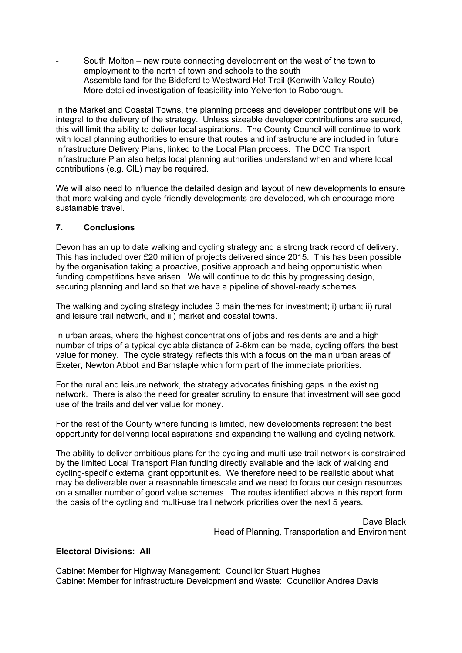- South Molton new route connecting development on the west of the town to employment to the north of town and schools to the south
- Assemble land for the Bideford to Westward Ho! Trail (Kenwith Valley Route)
- More detailed investigation of feasibility into Yelverton to Roborough.

In the Market and Coastal Towns, the planning process and developer contributions will be integral to the delivery of the strategy. Unless sizeable developer contributions are secured, this will limit the ability to deliver local aspirations. The County Council will continue to work with local planning authorities to ensure that routes and infrastructure are included in future Infrastructure Delivery Plans, linked to the Local Plan process. The DCC Transport Infrastructure Plan also helps local planning authorities understand when and where local contributions (e.g. CIL) may be required.

We will also need to influence the detailed design and layout of new developments to ensure that more walking and cycle-friendly developments are developed, which encourage more sustainable travel.

#### **7. Conclusions**

Devon has an up to date walking and cycling strategy and a strong track record of delivery. This has included over £20 million of projects delivered since 2015. This has been possible by the organisation taking a proactive, positive approach and being opportunistic when funding competitions have arisen. We will continue to do this by progressing design, securing planning and land so that we have a pipeline of shovel-ready schemes.

The walking and cycling strategy includes 3 main themes for investment; i) urban; ii) rural and leisure trail network, and iii) market and coastal towns.

In urban areas, where the highest concentrations of jobs and residents are and a high number of trips of a typical cyclable distance of 2-6km can be made, cycling offers the best value for money. The cycle strategy reflects this with a focus on the main urban areas of Exeter, Newton Abbot and Barnstaple which form part of the immediate priorities.

For the rural and leisure network, the strategy advocates finishing gaps in the existing network. There is also the need for greater scrutiny to ensure that investment will see good use of the trails and deliver value for money.

For the rest of the County where funding is limited, new developments represent the best opportunity for delivering local aspirations and expanding the walking and cycling network.

The ability to deliver ambitious plans for the cycling and multi-use trail network is constrained by the limited Local Transport Plan funding directly available and the lack of walking and cycling-specific external grant opportunities. We therefore need to be realistic about what may be deliverable over a reasonable timescale and we need to focus our design resources on a smaller number of good value schemes. The routes identified above in this report form the basis of the cycling and multi-use trail network priorities over the next 5 years.

> Dave Black Head of Planning, Transportation and Environment

#### **Electoral Divisions: All**

Cabinet Member for Highway Management: Councillor Stuart Hughes Cabinet Member for Infrastructure Development and Waste: Councillor Andrea Davis